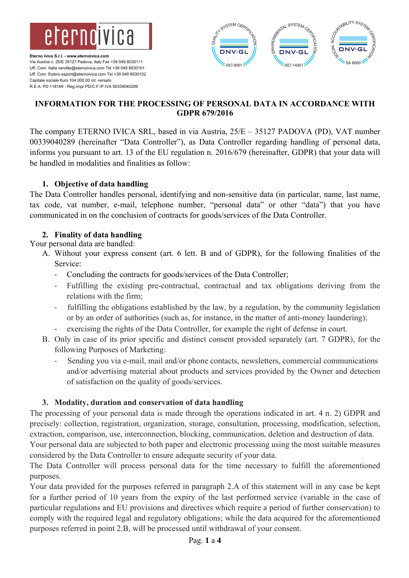



# **INFORMATION FOR THE PROCESSING OF PERSONAL DATA IN ACCORDANCE WITH GDPR 679/2016**

The company ETERNO IVICA SRL, based in via Austria, 25/E – 35127 PADOVA (PD), VAT number 00339040289 (hereinafter "Data Controller"), as Data Controller regarding handling of personal data, informs you pursuant to art. 13 of the EU regulation n. 2016/679 (hereinafter, GDPR) that your data will be handled in modalities and finalities as follow:

## **1. Objective of data handling**

The Data Controller handles personal, identifying and non-sensitive data (in particular, name, last name, tax code, vat number, e-mail, telephone number, "personal data" or other "data") that you have communicated in on the conclusion of contracts for goods/services of the Data Controller.

## **2. Finality of data handling**

Your personal data are handled:

- A. Without your express consent (art. 6 lett. B and of GDPR), for the following finalities of the Service:
	- Concluding the contracts for goods/services of the Data Controller;
	- Fulfilling the existing pre-contractual, contractual and tax obligations deriving from the relations with the firm;
	- fulfilling the obligations established by the law, by a regulation, by the community legislation or by an order of authorities (such as, for instance, in the matter of anti-money laundering);
	- exercising the rights of the Data Controller, for example the right of defense in court.
- B. Only in case of its prior specific and distinct consent provided separately (art. 7 GDPR), for the following Purposes of Marketing:
	- Sending you via e-mail, mail and/or phone contacts, newsletters, commercial communications and/or advertising material about products and services provided by the Owner and detection of satisfaction on the quality of goods/services.

# **3. Modality, duration and conservation of data handling**

The processing of your personal data is made through the operations indicated in art. 4 n. 2) GDPR and precisely: collection, registration, organization, storage, consultation, processing, modification, selection, extraction, comparison, use, interconnection, blocking, communication, deletion and destruction of data.

Your personal data are subjected to both paper and electronic processing using the most suitable measures considered by the Data Controller to ensure adequate security of your data.

The Data Controller will process personal data for the time necessary to fulfill the aforementioned purposes.

Your data provided for the purposes referred in paragraph 2.A of this statement will in any case be kept for a further period of 10 years from the expiry of the last performed service (variable in the case of particular regulations and EU provisions and directives which require a period of further conservation) to comply with the required legal and regulatory obligations; while the data acquired for the aforementioned purposes referred in point 2.B, will be processed until withdrawal of your consent.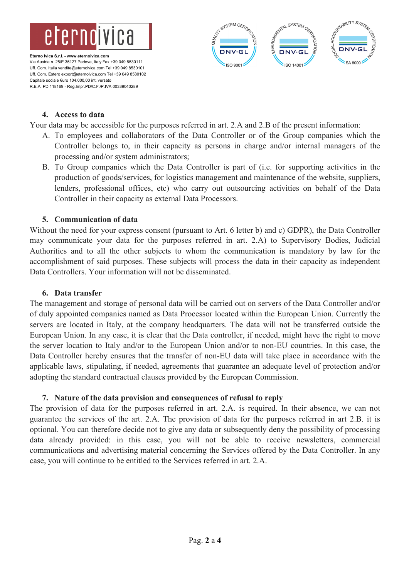



### **4. Access to data**

Your data may be accessible for the purposes referred in art. 2.A and 2.B of the present information:

- A. To employees and collaborators of the Data Controller or of the Group companies which the Controller belongs to, in their capacity as persons in charge and/or internal managers of the processing and/or system administrators;
- B. To Group companies which the Data Controller is part of (i.e. for supporting activities in the production of goods/services, for logistics management and maintenance of the website, suppliers, lenders, professional offices, etc) who carry out outsourcing activities on behalf of the Data Controller in their capacity as external Data Processors.

### **5. Communication of data**

Without the need for your express consent (pursuant to Art. 6 letter b) and c) GDPR), the Data Controller may communicate your data for the purposes referred in art. 2.A) to Supervisory Bodies, Judicial Authorities and to all the other subjects to whom the communication is mandatory by law for the accomplishment of said purposes. These subjects will process the data in their capacity as independent Data Controllers. Your information will not be disseminated.

#### **6. Data transfer**

The management and storage of personal data will be carried out on servers of the Data Controller and/or of duly appointed companies named as Data Processor located within the European Union. Currently the servers are located in Italy, at the company headquarters. The data will not be transferred outside the European Union. In any case, it is clear that the Data controller, if needed, might have the right to move the server location to Italy and/or to the European Union and/or to non-EU countries. In this case, the Data Controller hereby ensures that the transfer of non-EU data will take place in accordance with the applicable laws, stipulating, if needed, agreements that guarantee an adequate level of protection and/or adopting the standard contractual clauses provided by the European Commission.

### **7. Nature of the data provision and consequences of refusal to reply**

The provision of data for the purposes referred in art. 2.A. is required. In their absence, we can not guarantee the services of the art. 2.A. The provision of data for the purposes referred in art 2.B. it is optional. You can therefore decide not to give any data or subsequently deny the possibility of processing data already provided: in this case, you will not be able to receive newsletters, commercial communications and advertising material concerning the Services offered by the Data Controller. In any case, you will continue to be entitled to the Services referred in art. 2.A.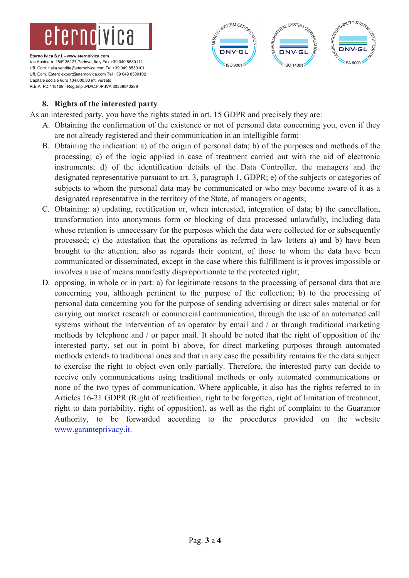



# **8. Rights of the interested party**

As an interested party, you have the rights stated in art. 15 GDPR and precisely they are:

- A. Obtaining the confirmation of the existence or not of personal data concerning you, even if they are not already registered and their communication in an intelligible form;
- B. Obtaining the indication: a) of the origin of personal data; b) of the purposes and methods of the processing; c) of the logic applied in case of treatment carried out with the aid of electronic instruments; d) of the identification details of the Data Controller, the managers and the designated representative pursuant to art. 3, paragraph 1, GDPR; e) of the subjects or categories of subjects to whom the personal data may be communicated or who may become aware of it as a designated representative in the territory of the State, of managers or agents;
- C. Obtaining: a) updating, rectification or, when interested, integration of data; b) the cancellation, transformation into anonymous form or blocking of data processed unlawfully, including data whose retention is unnecessary for the purposes which the data were collected for or subsequently processed; c) the attestation that the operations as referred in law letters a) and b) have been brought to the attention, also as regards their content, of those to whom the data have been communicated or disseminated, except in the case where this fulfillment is it proves impossible or involves a use of means manifestly disproportionate to the protected right;
- D. opposing, in whole or in part: a) for legitimate reasons to the processing of personal data that are concerning you, although pertinent to the purpose of the collection; b) to the processing of personal data concerning you for the purpose of sending advertising or direct sales material or for carrying out market research or commercial communication, through the use of an automated call systems without the intervention of an operator by email and / or through traditional marketing methods by telephone and / or paper mail. It should be noted that the right of opposition of the interested party, set out in point b) above, for direct marketing purposes through automated methods extends to traditional ones and that in any case the possibility remains for the data subject to exercise the right to object even only partially. Therefore, the interested party can decide to receive only communications using traditional methods or only automated communications or none of the two types of communication. Where applicable, it also has the rights referred to in Articles 16-21 GDPR (Right of rectification, right to be forgotten, right of limitation of treatment, right to data portability, right of opposition), as well as the right of complaint to the Guarantor Authority, to be forwarded according to the procedures provided on the website www.garanteprivacy.it.